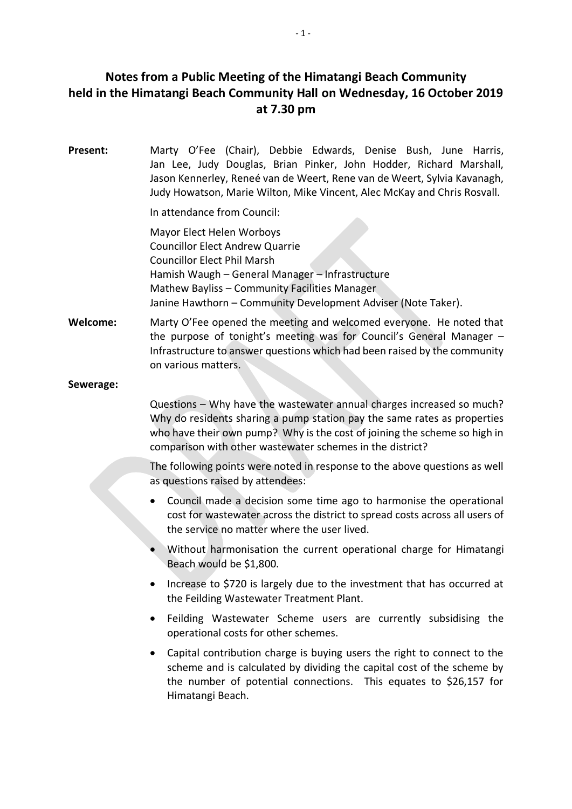# **Notes from a Public Meeting of the Himatangi Beach Community held in the Himatangi Beach Community Hall on Wednesday, 16 October 2019 at 7.30 pm**

**Present:** Marty O'Fee (Chair), Debbie Edwards, Denise Bush, June Harris, Jan Lee, Judy Douglas, Brian Pinker, John Hodder, Richard Marshall, Jason Kennerley, Reneé van de Weert, Rene van de Weert, Sylvia Kavanagh, Judy Howatson, Marie Wilton, Mike Vincent, Alec McKay and Chris Rosvall.

In attendance from Council:

Mayor Elect Helen Worboys Councillor Elect Andrew Quarrie Councillor Elect Phil Marsh Hamish Waugh – General Manager – Infrastructure Mathew Bayliss – Community Facilities Manager Janine Hawthorn – Community Development Adviser (Note Taker).

**Welcome:** Marty O'Fee opened the meeting and welcomed everyone. He noted that the purpose of tonight's meeting was for Council's General Manager – Infrastructure to answer questions which had been raised by the community on various matters.

## **Sewerage:**

Questions – Why have the wastewater annual charges increased so much? Why do residents sharing a pump station pay the same rates as properties who have their own pump? Why is the cost of joining the scheme so high in comparison with other wastewater schemes in the district?

The following points were noted in response to the above questions as well as questions raised by attendees:

- Council made a decision some time ago to harmonise the operational cost for wastewater across the district to spread costs across all users of the service no matter where the user lived.
- Without harmonisation the current operational charge for Himatangi Beach would be \$1,800.
- Increase to \$720 is largely due to the investment that has occurred at the Feilding Wastewater Treatment Plant.
- Feilding Wastewater Scheme users are currently subsidising the operational costs for other schemes.
- Capital contribution charge is buying users the right to connect to the scheme and is calculated by dividing the capital cost of the scheme by the number of potential connections. This equates to \$26,157 for Himatangi Beach.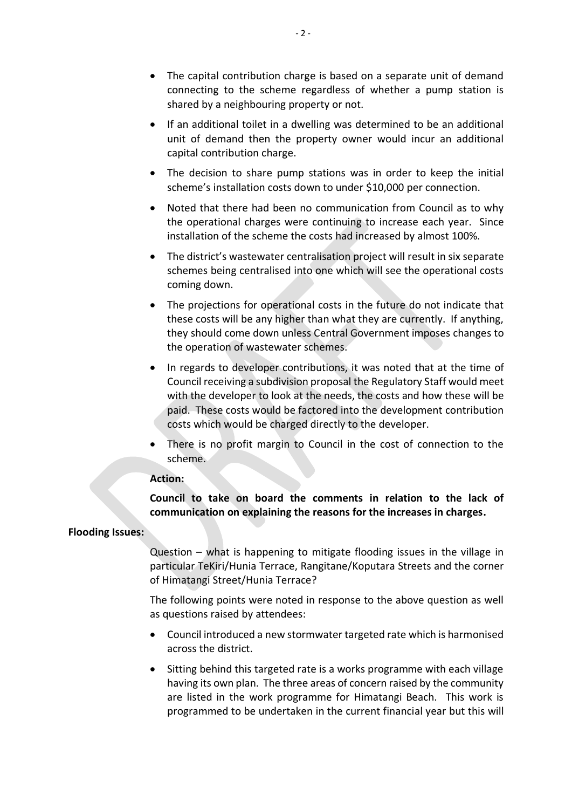- The capital contribution charge is based on a separate unit of demand connecting to the scheme regardless of whether a pump station is shared by a neighbouring property or not.
- If an additional toilet in a dwelling was determined to be an additional unit of demand then the property owner would incur an additional capital contribution charge.
- The decision to share pump stations was in order to keep the initial scheme's installation costs down to under \$10,000 per connection.
- Noted that there had been no communication from Council as to why the operational charges were continuing to increase each year. Since installation of the scheme the costs had increased by almost 100%.
- The district's wastewater centralisation project will result in six separate schemes being centralised into one which will see the operational costs coming down.
- The projections for operational costs in the future do not indicate that these costs will be any higher than what they are currently. If anything, they should come down unless Central Government imposes changes to the operation of wastewater schemes.
- In regards to developer contributions, it was noted that at the time of Council receiving a subdivision proposal the Regulatory Staff would meet with the developer to look at the needs, the costs and how these will be paid. These costs would be factored into the development contribution costs which would be charged directly to the developer.
- There is no profit margin to Council in the cost of connection to the scheme.

#### **Action:**

**Council to take on board the comments in relation to the lack of communication on explaining the reasons for the increases in charges.**

## **Flooding Issues:**

Question – what is happening to mitigate flooding issues in the village in particular TeKiri/Hunia Terrace, Rangitane/Koputara Streets and the corner of Himatangi Street/Hunia Terrace?

The following points were noted in response to the above question as well as questions raised by attendees:

- Council introduced a new stormwater targeted rate which is harmonised across the district.
- Sitting behind this targeted rate is a works programme with each village having its own plan. The three areas of concern raised by the community are listed in the work programme for Himatangi Beach. This work is programmed to be undertaken in the current financial year but this will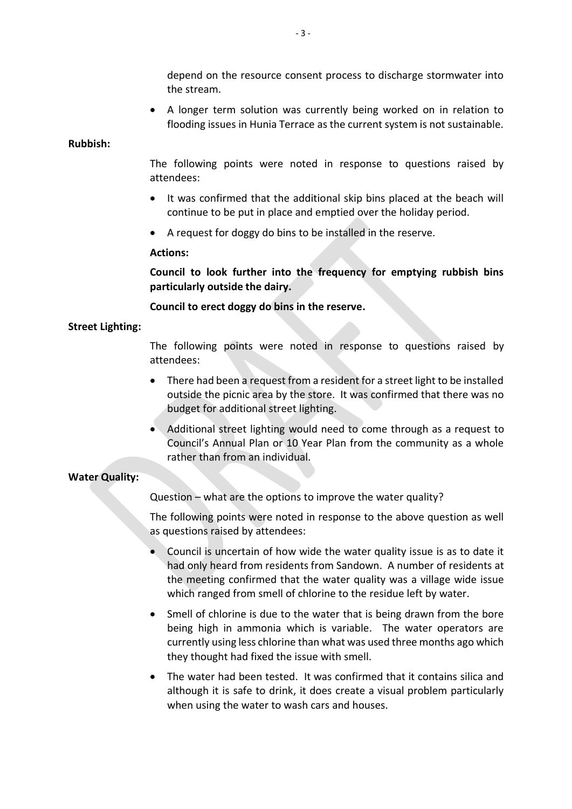depend on the resource consent process to discharge stormwater into the stream.

• A longer term solution was currently being worked on in relation to flooding issues in Hunia Terrace as the current system is not sustainable.

#### **Rubbish:**

The following points were noted in response to questions raised by attendees:

- It was confirmed that the additional skip bins placed at the beach will continue to be put in place and emptied over the holiday period.
- A request for doggy do bins to be installed in the reserve.

## **Actions:**

**Council to look further into the frequency for emptying rubbish bins particularly outside the dairy.**

**Council to erect doggy do bins in the reserve.**

## **Street Lighting:**

The following points were noted in response to questions raised by attendees:

- There had been a request from a resident for a street light to be installed outside the picnic area by the store. It was confirmed that there was no budget for additional street lighting.
- Additional street lighting would need to come through as a request to Council's Annual Plan or 10 Year Plan from the community as a whole rather than from an individual.

## **Water Quality:**

Question – what are the options to improve the water quality?

The following points were noted in response to the above question as well as questions raised by attendees:

- Council is uncertain of how wide the water quality issue is as to date it had only heard from residents from Sandown. A number of residents at the meeting confirmed that the water quality was a village wide issue which ranged from smell of chlorine to the residue left by water.
- Smell of chlorine is due to the water that is being drawn from the bore being high in ammonia which is variable. The water operators are currently using less chlorine than what was used three months ago which they thought had fixed the issue with smell.
- The water had been tested. It was confirmed that it contains silica and although it is safe to drink, it does create a visual problem particularly when using the water to wash cars and houses.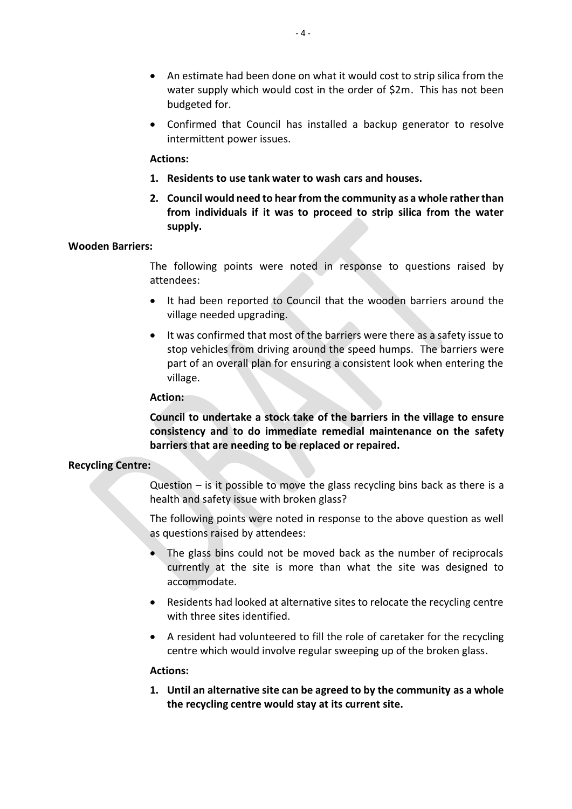- An estimate had been done on what it would cost to strip silica from the water supply which would cost in the order of \$2m. This has not been budgeted for.
- Confirmed that Council has installed a backup generator to resolve intermittent power issues.

## **Actions:**

- **1. Residents to use tank water to wash cars and houses.**
- **2. Council would need to hear from the community as a whole rather than from individuals if it was to proceed to strip silica from the water supply.**

#### **Wooden Barriers:**

The following points were noted in response to questions raised by attendees:

- It had been reported to Council that the wooden barriers around the village needed upgrading.
- It was confirmed that most of the barriers were there as a safety issue to stop vehicles from driving around the speed humps. The barriers were part of an overall plan for ensuring a consistent look when entering the village.

#### **Action:**

**Council to undertake a stock take of the barriers in the village to ensure consistency and to do immediate remedial maintenance on the safety barriers that are needing to be replaced or repaired.**

## **Recycling Centre:**

Question – is it possible to move the glass recycling bins back as there is a health and safety issue with broken glass?

The following points were noted in response to the above question as well as questions raised by attendees:

- The glass bins could not be moved back as the number of reciprocals currently at the site is more than what the site was designed to accommodate.
- Residents had looked at alternative sites to relocate the recycling centre with three sites identified.
- A resident had volunteered to fill the role of caretaker for the recycling centre which would involve regular sweeping up of the broken glass.

#### **Actions:**

**1. Until an alternative site can be agreed to by the community as a whole the recycling centre would stay at its current site.**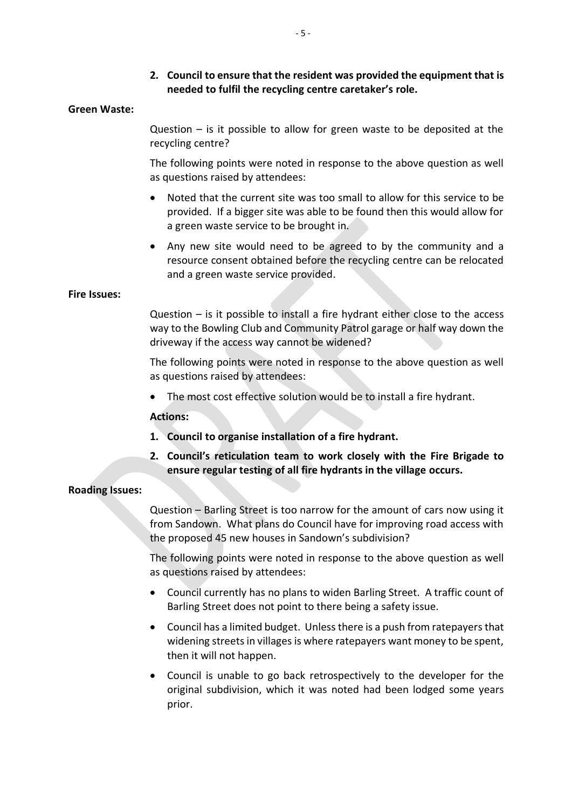**2. Council to ensure that the resident was provided the equipment that is needed to fulfil the recycling centre caretaker's role.**

#### **Green Waste:**

Question – is it possible to allow for green waste to be deposited at the recycling centre?

The following points were noted in response to the above question as well as questions raised by attendees:

- Noted that the current site was too small to allow for this service to be provided. If a bigger site was able to be found then this would allow for a green waste service to be brought in.
- Any new site would need to be agreed to by the community and a resource consent obtained before the recycling centre can be relocated and a green waste service provided.

#### **Fire Issues:**

Question – is it possible to install a fire hydrant either close to the access way to the Bowling Club and Community Patrol garage or half way down the driveway if the access way cannot be widened?

The following points were noted in response to the above question as well as questions raised by attendees:

• The most cost effective solution would be to install a fire hydrant.

## **Actions:**

- **1. Council to organise installation of a fire hydrant.**
- **2. Council's reticulation team to work closely with the Fire Brigade to ensure regular testing of all fire hydrants in the village occurs.**

## **Roading Issues:**

Question – Barling Street is too narrow for the amount of cars now using it from Sandown. What plans do Council have for improving road access with the proposed 45 new houses in Sandown's subdivision?

The following points were noted in response to the above question as well as questions raised by attendees:

- Council currently has no plans to widen Barling Street. A traffic count of Barling Street does not point to there being a safety issue.
- Council has a limited budget. Unless there is a push from ratepayers that widening streets in villages is where ratepayers want money to be spent, then it will not happen.
- Council is unable to go back retrospectively to the developer for the original subdivision, which it was noted had been lodged some years prior.